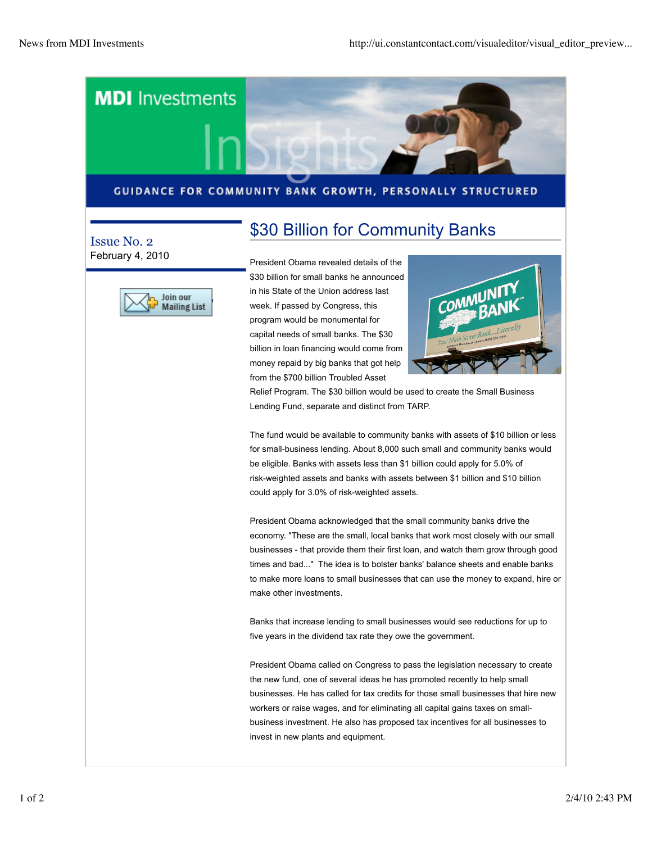

## GUIDANCE FOR COMMUNITY BANK GROWTH, PERSONALLY STRUCTURED

\$30 Billion for Community Banks

## Issue No. 2 February 4, 2010



President Obama revealed details of the \$30 billion for small banks he announced in his State of the Union address last week. If passed by Congress, this program would be monumental for capital needs of small banks. The \$30 billion in loan financing would come from money repaid by big banks that got help from the \$700 billion Troubled Asset



Relief Program. The \$30 billion would be used to create the Small Business Lending Fund, separate and distinct from TARP.

The fund would be available to community banks with assets of \$10 billion or less for small-business lending. About 8,000 such small and community banks would be eligible. Banks with assets less than \$1 billion could apply for 5.0% of risk-weighted assets and banks with assets between \$1 billion and \$10 billion could apply for 3.0% of risk-weighted assets.

President Obama acknowledged that the small community banks drive the economy. "These are the small, local banks that work most closely with our small businesses - that provide them their first loan, and watch them grow through good times and bad..." The idea is to bolster banks' balance sheets and enable banks to make more loans to small businesses that can use the money to expand, hire or make other investments.

Banks that increase lending to small businesses would see reductions for up to five years in the dividend tax rate they owe the government.

President Obama called on Congress to pass the legislation necessary to create the new fund, one of several ideas he has promoted recently to help small businesses. He has called for tax credits for those small businesses that hire new workers or raise wages, and for eliminating all capital gains taxes on smallbusiness investment. He also has proposed tax incentives for all businesses to invest in new plants and equipment.